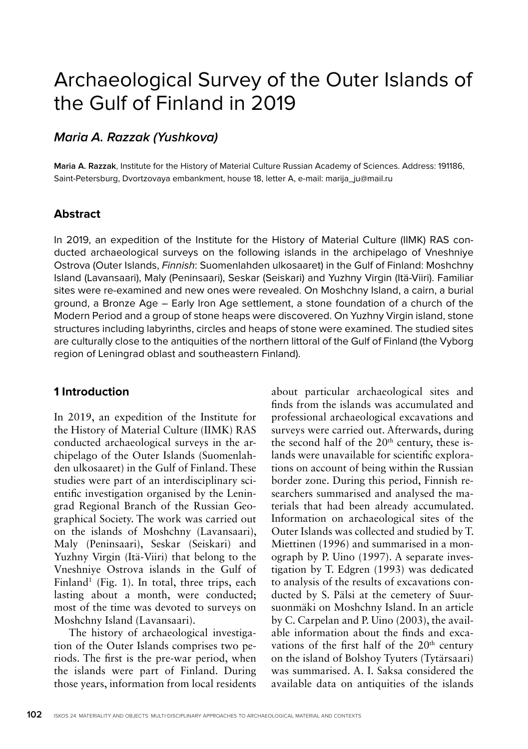# Archaeological Survey of the Outer Islands of the Gulf of Finland in 2019

## **Maria A. Razzak (Yushkova)**

**Maria A. Razzak**, Institute for the History of Material Culture Russian Academy of Sciences. Address: 191186, Saint-Petersburg, Dvortzovaya embankment, house 18, letter A, e-mail: marija\_ju@mail.ru

## **Abstract**

In 2019, an expedition of the Institute for the History of Material Culture (IIMK) RAS conducted archaeological surveys on the following islands in the archipelago of Vneshniye Ostrova (Outer Islands, Finnish: Suomenlahden ulkosaaret) in the Gulf of Finland: Moshchny Island (Lavansaari), Maly (Peninsaari), Seskar (Seiskari) and Yuzhny Virgin (Itä-Viiri). Familiar sites were re-examined and new ones were revealed. On Moshchny Island, a cairn, a burial ground, a Bronze Age – Early Iron Age settlement, a stone foundation of a church of the Modern Period and a group of stone heaps were discovered. On Yuzhny Virgin island, stone structures including labyrinths, circles and heaps of stone were examined. The studied sites are culturally close to the antiquities of the northern littoral of the Gulf of Finland (the Vyborg region of Leningrad oblast and southeastern Finland).

## **1 Introduction**

In 2019, an expedition of the Institute for the History of Material Culture (IIMK) RAS conducted archaeological surveys in the archipelago of the Outer Islands (Suomenlahden ulkosaaret) in the Gulf of Finland. These studies were part of an interdisciplinary scientific investigation organised by the Leningrad Regional Branch of the Russian Geographical Society. The work was carried out on the islands of Moshchny (Lavansaari), Maly (Peninsaari), Seskar (Seiskari) and Yuzhny Virgin (Itä-Viiri) that belong to the Vneshniye Ostrova islands in the Gulf of Finland<sup>1</sup> (Fig. 1). In total, three trips, each lasting about a month, were conducted; most of the time was devoted to surveys on Moshchny Island (Lavansaari).

The history of archaeological investigation of the Outer Islands comprises two periods. The first is the pre-war period, when the islands were part of Finland. During those years, information from local residents

about particular archaeological sites and finds from the islands was accumulated and professional archaeological excavations and surveys were carried out. Afterwards, during the second half of the  $20<sup>th</sup>$  century, these islands were unavailable for scientific explorations on account of being within the Russian border zone. During this period, Finnish researchers summarised and analysed the materials that had been already accumulated. Information on archaeological sites of the Outer Islands was collected and studied by T. Miettinen (1996) and summarised in a monograph by P. Uino (1997). A separate investigation by T. Edgren (1993) was dedicated to analysis of the results of excavations conducted by S. Pälsi at the cemetery of Suursuonmäki on Moshchny Island. In an article by C. Carpelan and P. Uino (2003), the available information about the finds and excavations of the first half of the 20<sup>th</sup> century on the island of Bolshoy Tyuters (Tytärsaari) was summarised. A. I. Saksa considered the available data on antiquities of the islands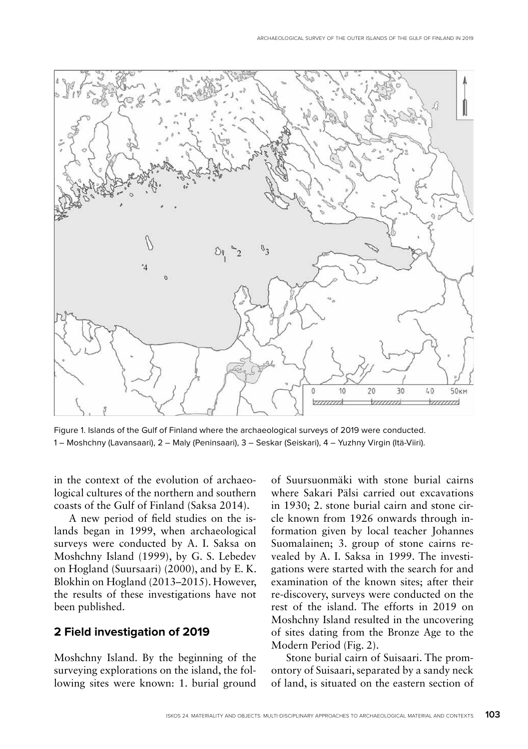

Figure 1. Islands of the Gulf of Finland where the archaeological surveys of 2019 were conducted. 1 – Moshchny (Lavansaari), 2 – Maly (Peninsaari), 3 – Seskar (Seiskari), 4 – Yuzhny Virgin (Itä-Viiri).

in the context of the evolution of archaeological cultures of the northern and southern coasts of the Gulf of Finland (Saksa 2014).

A new period of field studies on the islands began in 1999, when archaeological surveys were conducted by A. I. Saksa on Moshchny Island (1999), by G. S. Lebedev on Hogland (Suursaari) (2000), and by E. K. Blokhin on Hogland (2013–2015). However, the results of these investigations have not been published.

#### **2 Field investigation of 2019**

Moshchny Island. By the beginning of the surveying explorations on the island, the following sites were known: 1. burial ground of Suursuonmäki with stone burial cairns where Sakari Pälsi carried out excavations in 1930; 2. stone burial cairn and stone circle known from 1926 onwards through information given by local teacher Johannes Suomalainen; 3. group of stone cairns revealed by A. I. Saksa in 1999. The investigations were started with the search for and examination of the known sites; after their re-discovery, surveys were conducted on the rest of the island. The efforts in 2019 on Moshchny Island resulted in the uncovering of sites dating from the Bronze Age to the Modern Period (Fig. 2).

Stone burial cairn of Suisaari. The promontory of Suisaari, separated by a sandy neck of land, is situated on the eastern section of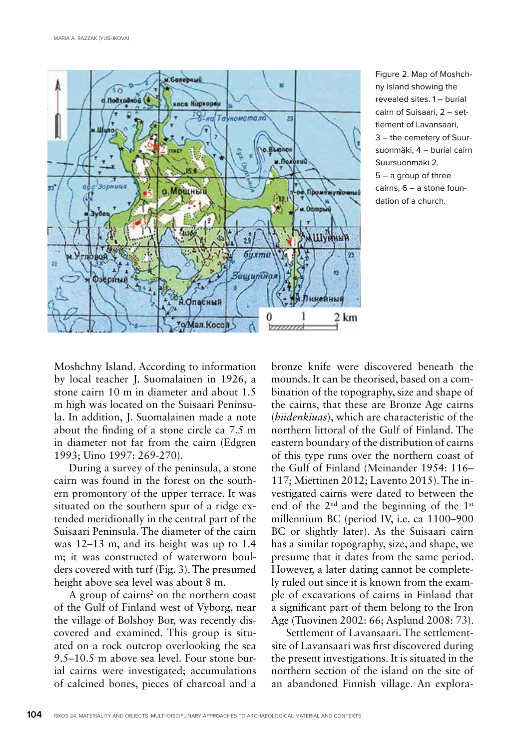

Figure 2. Map of Moshchny Island showing the revealed sites. 1 – burial cairn of Suisaari, 2 – settlement of Lavansaari, 3 – the cemetery of Suursuonmäki, 4 – burial cairn Suursuonmäki 2, 5 – a group of three cairns, 6 – a stone foundation of a church.

Moshchny Island. According to information by local teacher J. Suomalainen in 1926, a stone cairn 10 m in diameter and about 1.5 m high was located on the Suisaari Peninsula. In addition, J. Suomalainen made a note about the finding of a stone circle ca 7.5 m in diameter not far from the cairn (Edgren 1993; Uino 1997: 269-270).

During a survey of the peninsula, a stone cairn was found in the forest on the southern promontory of the upper terrace. It was situated on the southern spur of a ridge extended meridionally in the central part of the Suisaari Peninsula. The diameter of the cairn was 12–13 m, and its height was up to 1.4 m; it was constructed of waterworn boulders covered with turf (Fig. 3). The presumed height above sea level was about 8 m.

A group of cairns<sup>2</sup> on the northern coast of the Gulf of Finland west of Vyborg, near the village of Bolshoy Bor, was recently discovered and examined. This group is situated on a rock outcrop overlooking the sea 9.5–10.5 m above sea level. Four stone burial cairns were investigated; accumulations of calcined bones, pieces of charcoal and a

bronze knife were discovered beneath the mounds. It can be theorised, based on a combination of the topography, size and shape of the cairns, that these are Bronze Age cairns (*hiidenkiuas*), which are characteristic of the northern littoral of the Gulf of Finland. The eastern boundary of the distribution of cairns of this type runs over the northern coast of the Gulf of Finland (Meinander 1954: 116– 117; Miettinen 2012; Lavento 2015). The investigated cairns were dated to between the end of the  $2<sup>nd</sup>$  and the beginning of the  $1<sup>st</sup>$ millennium BC (period IV, i.e. ca 1100–900 BC or slightly later). As the Suisaari cairn has a similar topography, size, and shape, we presume that it dates from the same period. However, a later dating cannot be completely ruled out since it is known from the example of excavations of cairns in Finland that a significant part of them belong to the Iron Age (Tuovinen 2002: 66; Asplund 2008: 73).

Settlement of Lavansaari. The settlementsite of Lavansaari was first discovered during the present investigations. It is situated in the northern section of the island on the site of an abandoned Finnish village. An explora-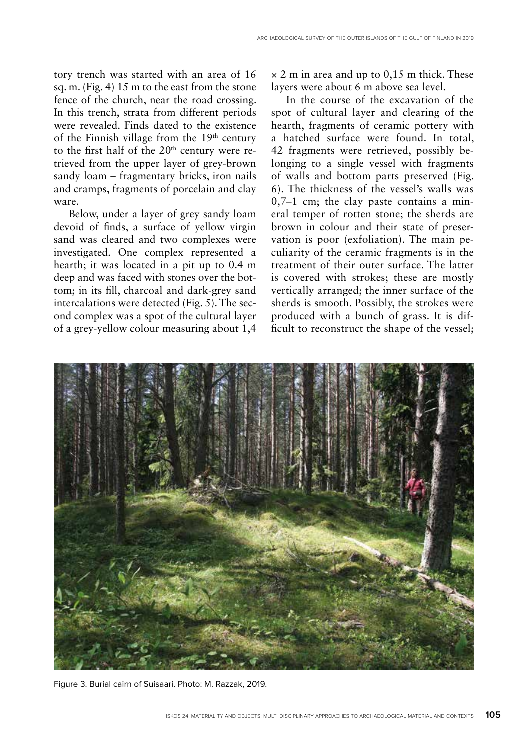tory trench was started with an area of 16 sq. m. (Fig. 4) 15 m to the east from the stone fence of the church, near the road crossing. In this trench, strata from different periods were revealed. Finds dated to the existence of the Finnish village from the 19th century to the first half of the  $20<sup>th</sup>$  century were retrieved from the upper layer of grey-brown sandy loam – fragmentary bricks, iron nails and cramps, fragments of porcelain and clay ware.

Below, under a layer of grey sandy loam devoid of finds, a surface of yellow virgin sand was cleared and two complexes were investigated. One complex represented a hearth; it was located in a pit up to 0.4 m deep and was faced with stones over the bottom; in its fill, charcoal and dark-grey sand intercalations were detected (Fig. 5). The second complex was a spot of the cultural layer of a grey-yellow colour measuring about 1,4

 $\times$  2 m in area and up to 0,15 m thick. These layers were about 6 m above sea level.

In the course of the excavation of the spot of cultural layer and clearing of the hearth, fragments of ceramic pottery with a hatched surface were found. In total, 42 fragments were retrieved, possibly belonging to a single vessel with fragments of walls and bottom parts preserved (Fig. 6). The thickness of the vessel's walls was 0,7–1 cm; the clay paste contains a mineral temper of rotten stone; the sherds are brown in colour and their state of preservation is poor (exfoliation). The main peculiarity of the ceramic fragments is in the treatment of their outer surface. The latter is covered with strokes; these are mostly vertically arranged; the inner surface of the sherds is smooth. Possibly, the strokes were produced with a bunch of grass. It is difficult to reconstruct the shape of the vessel;



Figure 3. Burial cairn of Suisaari. Photo: M. Razzak, 2019.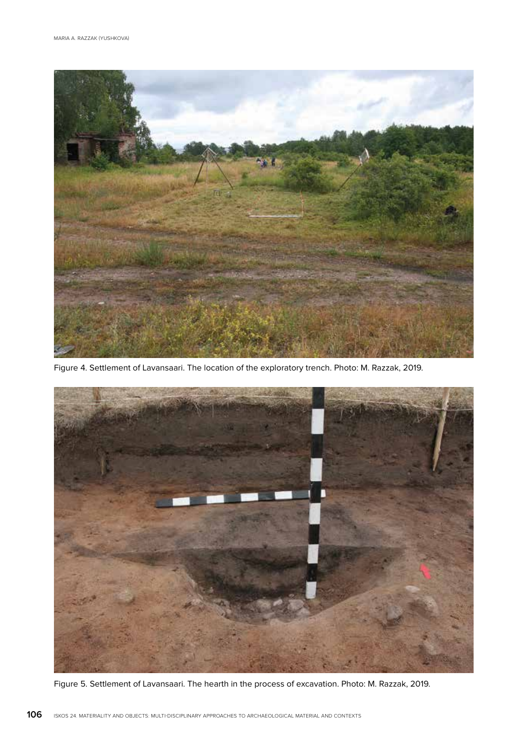

Figure 4. Settlement of Lavansaari. The location of the exploratory trench. Photo: M. Razzak, 2019.



Figure 5. Settlement of Lavansaari. The hearth in the process of excavation. Photo: M. Razzak, 2019.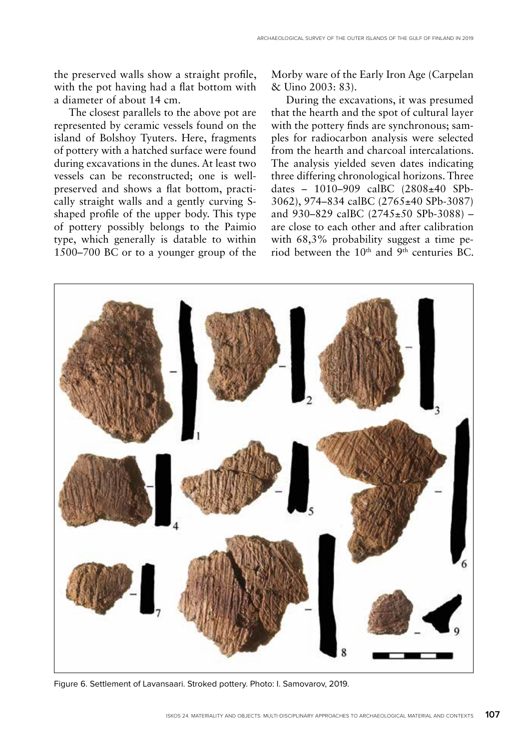the preserved walls show a straight profile, with the pot having had a flat bottom with a diameter of about 14 cm.

The closest parallels to the above pot are represented by ceramic vessels found on the island of Bolshoy Tyuters. Here, fragments of pottery with a hatched surface were found during excavations in the dunes. At least two vessels can be reconstructed; one is wellpreserved and shows a flat bottom, practically straight walls and a gently curving Sshaped profile of the upper body. This type of pottery possibly belongs to the Paimio type, which generally is datable to within 1500–700 BC or to a younger group of the

Morby ware of the Early Iron Age (Carpelan & Uino 2003: 83).

During the excavations, it was presumed that the hearth and the spot of cultural layer with the pottery finds are synchronous; samples for radiocarbon analysis were selected from the hearth and charcoal intercalations. The analysis yielded seven dates indicating three differing chronological horizons. Three dates – 1010–909 calBC (2808±40 SPb-3062), 974–834 calBC (2765±40 SPb-3087) and 930–829 calBC (2745±50 SPb-3088) – are close to each other and after calibration with 68,3% probability suggest a time period between the  $10<sup>th</sup>$  and  $9<sup>th</sup>$  centuries BC.



Figure 6. Settlement of Lavansaari. Stroked pottery. Photo: I. Samovarov, 2019.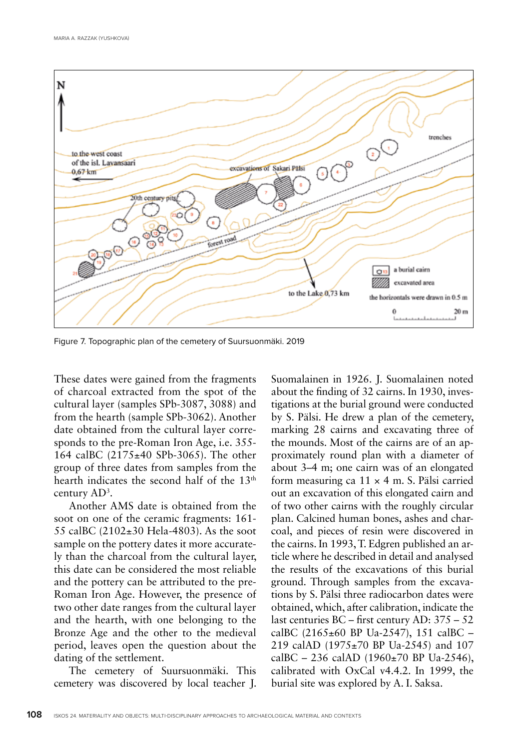

Figure 7. Topographic plan of the cemetery of Suursuonmäki. 2019

These dates were gained from the fragments of charcoal extracted from the spot of the cultural layer (samples SPb-3087, 3088) and from the hearth (sample SPb-3062). Another date obtained from the cultural layer corresponds to the pre-Roman Iron Age, i.e. 355- 164 calBC (2175±40 SPb-3065). The other group of three dates from samples from the hearth indicates the second half of the 13<sup>th</sup> century AD3 .

Another AMS date is obtained from the soot on one of the ceramic fragments: 161- 55 calBC (2102±30 Hela-4803). As the soot sample on the pottery dates it more accurately than the charcoal from the cultural layer, this date can be considered the most reliable and the pottery can be attributed to the pre-Roman Iron Age. However, the presence of two other date ranges from the cultural layer and the hearth, with one belonging to the Bronze Age and the other to the medieval period, leaves open the question about the dating of the settlement.

The cemetery of Suursuonmäki. This cemetery was discovered by local teacher J. Suomalainen in 1926. J. Suomalainen noted about the finding of 32 cairns. In 1930, investigations at the burial ground were conducted by S. Pälsi. He drew a plan of the cemetery, marking 28 cairns and excavating three of the mounds. Most of the cairns are of an approximately round plan with a diameter of about 3–4 m; one cairn was of an elongated form measuring ca  $11 \times 4$  m. S. Pälsi carried out an excavation of this elongated cairn and of two other cairns with the roughly circular plan. Calcined human bones, ashes and charcoal, and pieces of resin were discovered in the cairns. In 1993, T. Edgren published an article where he described in detail and analysed the results of the excavations of this burial ground. Through samples from the excavations by S. Pälsi three radiocarbon dates were obtained, which, after calibration, indicate the last centuries BC – first century AD: 375 – 52 calBC  $(2165 \pm 60$  BP Ua-2547), 151 calBC – 219 calAD (1975±70 BP Ua-2545) and 107 calBC – 236 calAD (1960 $\pm$ 70 BP Ua-2546), calibrated with OxCal v4.4.2. In 1999, the burial site was explored by A. I. Saksa.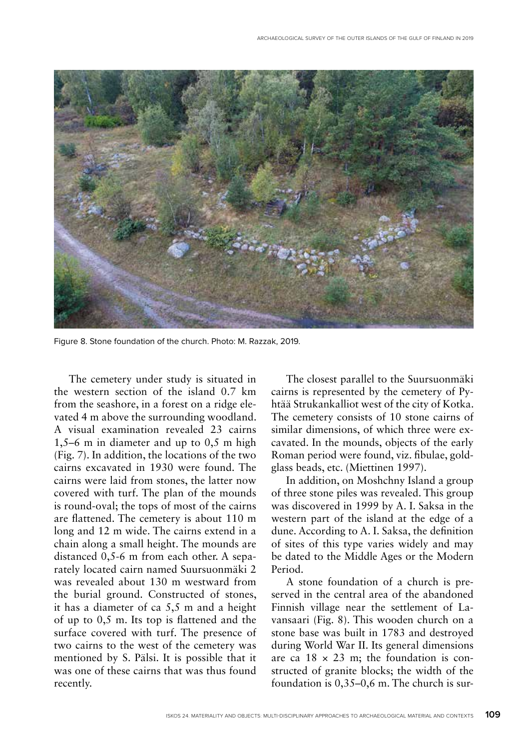

Figure 8. Stone foundation of the church. Photo: M. Razzak, 2019.

The cemetery under study is situated in the western section of the island 0.7 km from the seashore, in a forest on a ridge elevated 4 m above the surrounding woodland. A visual examination revealed 23 cairns 1,5–6 m in diameter and up to 0,5 m high (Fig. 7). In addition, the locations of the two cairns excavated in 1930 were found. The cairns were laid from stones, the latter now covered with turf. The plan of the mounds is round-oval; the tops of most of the cairns are flattened. The cemetery is about 110 m long and 12 m wide. The cairns extend in a chain along a small height. The mounds are distanced 0,5-6 m from each other. A separately located cairn named Suursuonmäki 2 was revealed about 130 m westward from the burial ground. Constructed of stones, it has a diameter of ca 5,5 m and a height of up to 0,5 m. Its top is flattened and the surface covered with turf. The presence of two cairns to the west of the cemetery was mentioned by S. Pälsi. It is possible that it was one of these cairns that was thus found recently.

The closest parallel to the Suursuonmäki cairns is represented by the cemetery of Pyhtää Strukankalliot west of the city of Kotka. The cemetery consists of 10 stone cairns of similar dimensions, of which three were excavated. In the mounds, objects of the early Roman period were found, viz. fibulae, goldglass beads, etc. (Miettinen 1997).

In addition, on Moshchny Island a group of three stone piles was revealed. This group was discovered in 1999 by A. I. Saksa in the western part of the island at the edge of a dune. According to A. I. Saksa, the definition of sites of this type varies widely and may be dated to the Middle Ages or the Modern Period.

A stone foundation of a church is preserved in the central area of the abandoned Finnish village near the settlement of Lavansaari (Fig. 8). This wooden church on a stone base was built in 1783 and destroyed during World War II. Its general dimensions are ca  $18 \times 23$  m; the foundation is constructed of granite blocks; the width of the foundation is 0,35–0,6 m. The church is sur-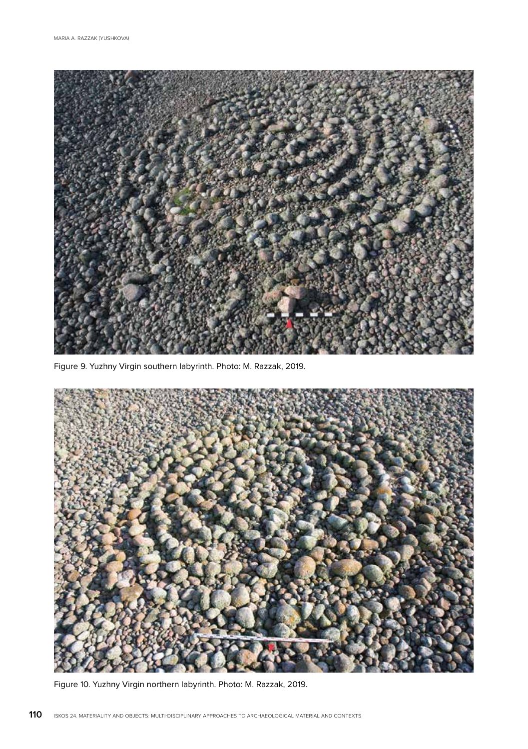

Figure 9. Yuzhny Virgin southern labyrinth. Photo: M. Razzak, 2019.



Figure 10. Yuzhny Virgin northern labyrinth. Photo: M. Razzak, 2019.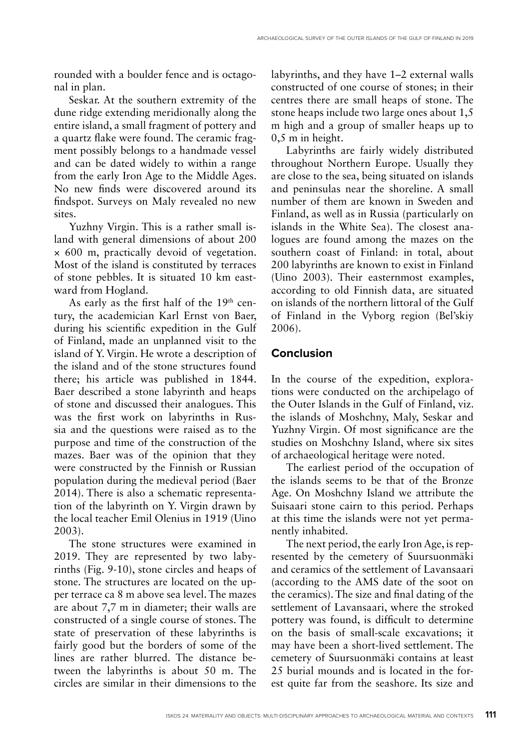rounded with a boulder fence and is octagonal in plan.

Seskar. At the southern extremity of the dune ridge extending meridionally along the entire island, a small fragment of pottery and a quartz flake were found. The ceramic fragment possibly belongs to a handmade vessel and can be dated widely to within a range from the early Iron Age to the Middle Ages. No new finds were discovered around its findspot. Surveys on Maly revealed no new sites.

Yuzhny Virgin. This is a rather small island with general dimensions of about 200 × 600 m, practically devoid of vegetation. Most of the island is constituted by terraces of stone pebbles. It is situated 10 km eastward from Hogland.

As early as the first half of the  $19<sup>th</sup>$  century, the academician Karl Ernst von Baer, during his scientific expedition in the Gulf of Finland, made an unplanned visit to the island of Y. Virgin. He wrote a description of the island and of the stone structures found there; his article was published in 1844. Baer described a stone labyrinth and heaps of stone and discussed their analogues. This was the first work on labyrinths in Russia and the questions were raised as to the purpose and time of the construction of the mazes. Baer was of the opinion that they were constructed by the Finnish or Russian population during the medieval period (Baer 2014). There is also a schematic representation of the labyrinth on Y. Virgin drawn by the local teacher Emil Olenius in 1919 (Uino 2003).

The stone structures were examined in 2019. They are represented by two labyrinths (Fig. 9-10), stone circles and heaps of stone. The structures are located on the upper terrace ca 8 m above sea level. The mazes are about 7,7 m in diameter; their walls are constructed of a single course of stones. The state of preservation of these labyrinths is fairly good but the borders of some of the lines are rather blurred. The distance between the labyrinths is about 50 m. The circles are similar in their dimensions to the

labyrinths, and they have 1–2 external walls constructed of one course of stones; in their centres there are small heaps of stone. The stone heaps include two large ones about 1,5 m high and a group of smaller heaps up to 0,5 m in height.

Labyrinths are fairly widely distributed throughout Northern Europe. Usually they are close to the sea, being situated on islands and peninsulas near the shoreline. A small number of them are known in Sweden and Finland, as well as in Russia (particularly on islands in the White Sea). The closest analogues are found among the mazes on the southern coast of Finland: in total, about 200 labyrinths are known to exist in Finland (Uino 2003). Their easternmost examples, according to old Finnish data, are situated on islands of the northern littoral of the Gulf of Finland in the Vyborg region (Bel'skiy 2006).

#### **Conclusion**

In the course of the expedition, explorations were conducted on the archipelago of the Outer Islands in the Gulf of Finland, viz. the islands of Moshchny, Maly, Seskar and Yuzhny Virgin. Of most significance are the studies on Moshchny Island, where six sites of archaeological heritage were noted.

The earliest period of the occupation of the islands seems to be that of the Bronze Age. On Moshchny Island we attribute the Suisaari stone cairn to this period. Perhaps at this time the islands were not yet permanently inhabited.

The next period, the early Iron Age, is represented by the cemetery of Suursuonmäki and ceramics of the settlement of Lavansaari (according to the AMS date of the soot on the ceramics). The size and final dating of the settlement of Lavansaari, where the stroked pottery was found, is difficult to determine on the basis of small-scale excavations; it may have been a short-lived settlement. The cemetery of Suursuonmäki contains at least 25 burial mounds and is located in the forest quite far from the seashore. Its size and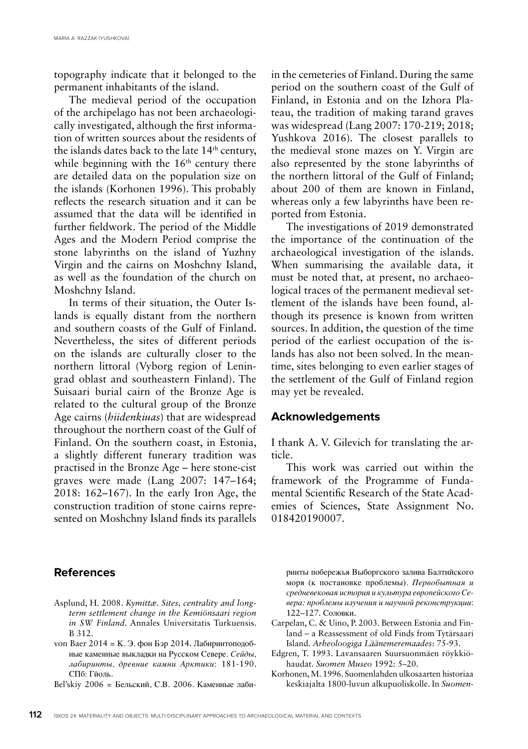topography indicate that it belonged to the permanent inhabitants of the island.

The medieval period of the occupation of the archipelago has not been archaeologically investigated, although the first information of written sources about the residents of the islands dates back to the late 14th century, while beginning with the  $16<sup>th</sup>$  century there are detailed data on the population size on the islands (Korhonen 1996). This probably reflects the research situation and it can be assumed that the data will be identified in further fieldwork. The period of the Middle Ages and the Modern Period comprise the stone labyrinths on the island of Yuzhny Virgin and the cairns on Moshchny Island, as well as the foundation of the church on Moshchny Island.

In terms of their situation, the Outer Islands is equally distant from the northern and southern coasts of the Gulf of Finland. Nevertheless, the sites of different periods on the islands are culturally closer to the northern littoral (Vyborg region of Leningrad oblast and southeastern Finland). The Suisaari burial cairn of the Bronze Age is related to the cultural group of the Bronze Age cairns (*hiidenkiuas*) that are widespread throughout the northern coast of the Gulf of Finland. On the southern coast, in Estonia, a slightly different funerary tradition was practised in the Bronze Age – here stone-cist graves were made (Lang 2007: 147–164; 2018: 162–167). In the early Iron Age, the construction tradition of stone cairns represented on Moshchny Island finds its parallels

in the cemeteries of Finland. During the same period on the southern coast of the Gulf of Finland, in Estonia and on the Izhora Plateau, the tradition of making tarand graves was widespread (Lang 2007: 170-219; 2018; Yushkova 2016). The closest parallels to the medieval stone mazes on Y. Virgin are also represented by the stone labyrinths of the northern littoral of the Gulf of Finland; about 200 of them are known in Finland, whereas only a few labyrinths have been reported from Estonia.

The investigations of 2019 demonstrated the importance of the continuation of the archaeological investigation of the islands. When summarising the available data, it must be noted that, at present, no archaeological traces of the permanent medieval settlement of the islands have been found, although its presence is known from written sources. In addition, the question of the time period of the earliest occupation of the islands has also not been solved. In the meantime, sites belonging to even earlier stages of the settlement of the Gulf of Finland region may yet be revealed.

#### **Acknowledgements**

I thank A. V. Gilevich for translating the article.

This work was carried out within the framework of the Programme of Fundamental Scientific Research of the State Academies of Sciences, State Assignment No. 018420190007.

## **References**

- Asplund, H. 2008. *Kymittæ. Sites, centrality and longterm settlement change in the Kemiönsaari region in SW Finland*. Annales Universitatis Turkuensis. B 312.
- von Baer 2014 = К. Э. фон Бэр 2014. Лабиринтоподобные каменные выкладки на Русском Севере. *Сейды, лабиринты, древние камни Арктики*: 181-190. СПб: Гйоль.
- Bel'skiy 2006 = Бельский, С.В. 2006. Каменные лаби-

ринты побережья Выборгского залива Балтийского моря (к постановке проблемы). *Первобытная и средневековая история и культура европейского Севера: проблемы изучения и научной реконструкции*: 122–127. Соловки.

- Carpelan, C. & Uino, P. 2003. Between Estonia and Finland – a Reassessment of old Finds from Tytärsaari Island. *Arheoloogiga Läänemeremaades*: 75-93.
- Edgren, T. 1993. Lavansaaren Suursuonmäen röykkiöhaudat. *Suomen Museo* 1992: 5–20.
- Korhonen, M. 1996. Suomenlahden ulkosaarten historiaa keskiajalta 1800-luvun alkupuoliskolle. In *Suomen-*